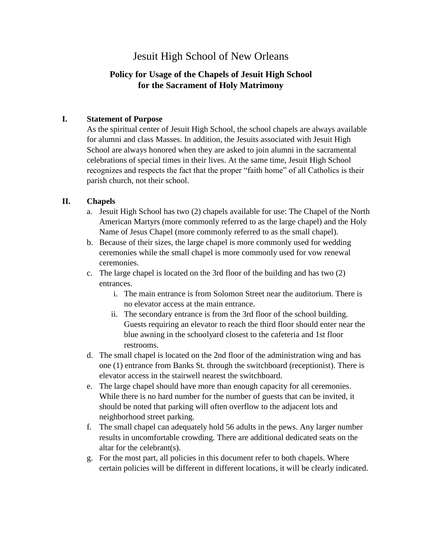# Jesuit High School of New Orleans

# **Policy for Usage of the Chapels of Jesuit High School for the Sacrament of Holy Matrimony**

#### **I. Statement of Purpose**

As the spiritual center of Jesuit High School, the school chapels are always available for alumni and class Masses. In addition, the Jesuits associated with Jesuit High School are always honored when they are asked to join alumni in the sacramental celebrations of special times in their lives. At the same time, Jesuit High School recognizes and respects the fact that the proper "faith home" of all Catholics is their parish church, not their school.

#### **II. Chapels**

- a. Jesuit High School has two (2) chapels available for use: The Chapel of the North American Martyrs (more commonly referred to as the large chapel) and the Holy Name of Jesus Chapel (more commonly referred to as the small chapel).
- b. Because of their sizes, the large chapel is more commonly used for wedding ceremonies while the small chapel is more commonly used for vow renewal ceremonies.
- c. The large chapel is located on the 3rd floor of the building and has two (2) entrances.
	- i. The main entrance is from Solomon Street near the auditorium. There is no elevator access at the main entrance.
	- ii. The secondary entrance is from the 3rd floor of the school building. Guests requiring an elevator to reach the third floor should enter near the blue awning in the schoolyard closest to the cafeteria and 1st floor restrooms.
- d. The small chapel is located on the 2nd floor of the administration wing and has one (1) entrance from Banks St. through the switchboard (receptionist). There is elevator access in the stairwell nearest the switchboard.
- e. The large chapel should have more than enough capacity for all ceremonies. While there is no hard number for the number of guests that can be invited, it should be noted that parking will often overflow to the adjacent lots and neighborhood street parking.
- f. The small chapel can adequately hold 56 adults in the pews. Any larger number results in uncomfortable crowding. There are additional dedicated seats on the altar for the celebrant(s).
- g. For the most part, all policies in this document refer to both chapels. Where certain policies will be different in different locations, it will be clearly indicated.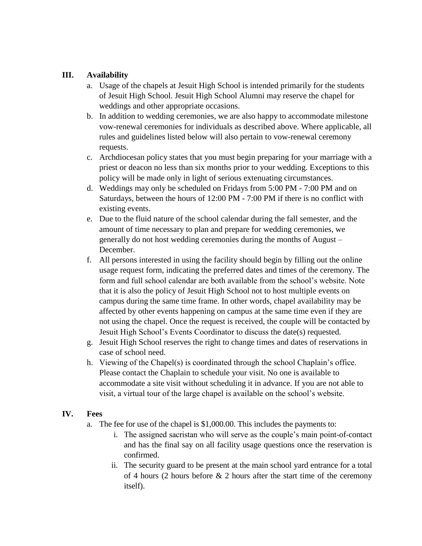## **III. Availability**

- a. Usage of the chapels at Jesuit High School is intended primarily for the students of Jesuit High School. Jesuit High School Alumni may reserve the chapel for weddings and other appropriate occasions.
- b. In addition to wedding ceremonies, we are also happy to accommodate milestone vow-renewal ceremonies for individuals as described above. Where applicable, all rules and guidelines listed below will also pertain to vow-renewal ceremony requests.
- c. Archdiocesan policy states that you must begin preparing for your marriage with a priest or deacon no less than six months prior to your wedding. Exceptions to this policy will be made only in light of serious extenuating circumstances.
- d. Weddings may only be scheduled on Fridays from 5:00 PM 7:00 PM and on Saturdays, between the hours of 12:00 PM - 7:00 PM if there is no conflict with existing events.
- e. Due to the fluid nature of the school calendar during the fall semester, and the amount of time necessary to plan and prepare for wedding ceremonies, we generally do not host wedding ceremonies during the months of August – December.
- f. All persons interested in using the facility should begin by filling out the online usage request form, indicating the preferred dates and times of the ceremony. The form and full school calendar are both available from the school's website. Note that it is also the policy of Jesuit High School not to host multiple events on campus during the same time frame. In other words, chapel availability may be affected by other events happening on campus at the same time even if they are not using the chapel. Once the request is received, the couple will be contacted by Jesuit High School's Events Coordinator to discuss the date(s) requested.
- g. Jesuit High School reserves the right to change times and dates of reservations in case of school need.
- h. Viewing of the Chapel(s) is coordinated through the school Chaplain's office. Please contact the Chaplain to schedule your visit. No one is available to accommodate a site visit without scheduling it in advance. If you are not able to visit, a virtual tour of the large chapel is available on the school's website.

#### **IV. Fees**

- a. The fee for use of the chapel is \$1,000.00. This includes the payments to:
	- i. The assigned sacristan who will serve as the couple's main point-of-contact and has the final say on all facility usage questions once the reservation is confirmed.
	- ii. The security guard to be present at the main school yard entrance for a total of 4 hours (2 hours before  $\&$  2 hours after the start time of the ceremony itself).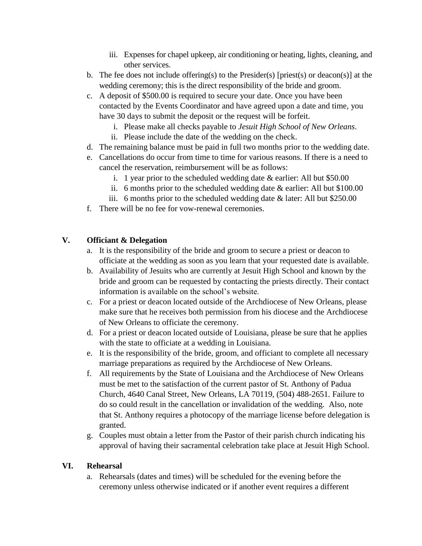- iii. Expenses for chapel upkeep, air conditioning or heating, lights, cleaning, and other services.
- b. The fee does not include offering(s) to the Presider(s) [priest(s) or deacon(s)] at the wedding ceremony; this is the direct responsibility of the bride and groom.
- c. A deposit of \$500.00 is required to secure your date. Once you have been contacted by the Events Coordinator and have agreed upon a date and time, you have 30 days to submit the deposit or the request will be forfeit.
	- i. Please make all checks payable to *Jesuit High School of New Orleans*.
	- ii. Please include the date of the wedding on the check.
- d. The remaining balance must be paid in full two months prior to the wedding date.
- e. Cancellations do occur from time to time for various reasons. If there is a need to cancel the reservation, reimbursement will be as follows:
	- i. 1 year prior to the scheduled wedding date & earlier: All but \$50.00
	- ii. 6 months prior to the scheduled wedding date  $&$  earlier: All but \$100.00
	- iii. 6 months prior to the scheduled wedding date  $\&$  later: All but \$250.00
- f. There will be no fee for vow-renewal ceremonies.

# **V. Officiant & Delegation**

- a. It is the responsibility of the bride and groom to secure a priest or deacon to officiate at the wedding as soon as you learn that your requested date is available.
- b. Availability of Jesuits who are currently at Jesuit High School and known by the bride and groom can be requested by contacting the priests directly. Their contact information is available on the school's website.
- c. For a priest or deacon located outside of the Archdiocese of New Orleans, please make sure that he receives both permission from his diocese and the Archdiocese of New Orleans to officiate the ceremony.
- d. For a priest or deacon located outside of Louisiana, please be sure that he applies with the state to officiate at a wedding in Louisiana.
- e. It is the responsibility of the bride, groom, and officiant to complete all necessary marriage preparations as required by the Archdiocese of New Orleans.
- f. All requirements by the State of Louisiana and the Archdiocese of New Orleans must be met to the satisfaction of the current pastor of St. Anthony of Padua Church, 4640 Canal Street, New Orleans, LA 70119, (504) 488-2651. Failure to do so could result in the cancellation or invalidation of the wedding. Also, note that St. Anthony requires a photocopy of the marriage license before delegation is granted.
- g. Couples must obtain a letter from the Pastor of their parish church indicating his approval of having their sacramental celebration take place at Jesuit High School.

# **VI. Rehearsal**

a. Rehearsals (dates and times) will be scheduled for the evening before the ceremony unless otherwise indicated or if another event requires a different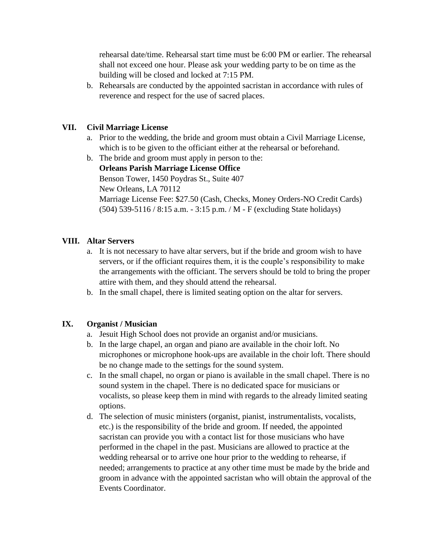rehearsal date/time. Rehearsal start time must be 6:00 PM or earlier. The rehearsal shall not exceed one hour. Please ask your wedding party to be on time as the building will be closed and locked at 7:15 PM.

b. Rehearsals are conducted by the appointed sacristan in accordance with rules of reverence and respect for the use of sacred places.

## **VII. Civil Marriage License**

- a. Prior to the wedding, the bride and groom must obtain a Civil Marriage License, which is to be given to the officiant either at the rehearsal or beforehand.
- b. The bride and groom must apply in person to the: **Orleans Parish Marriage License Office** Benson Tower, 1450 Poydras St., Suite 407 New Orleans, LA 70112 Marriage License Fee: \$27.50 (Cash, Checks, Money Orders-NO Credit Cards) (504) 539-5116 / 8:15 a.m. - 3:15 p.m. / M - F (excluding State holidays)

## **VIII. Altar Servers**

- a. It is not necessary to have altar servers, but if the bride and groom wish to have servers, or if the officiant requires them, it is the couple's responsibility to make the arrangements with the officiant. The servers should be told to bring the proper attire with them, and they should attend the rehearsal.
- b. In the small chapel, there is limited seating option on the altar for servers.

# **IX. Organist / Musician**

- a. Jesuit High School does not provide an organist and/or musicians.
- b. In the large chapel, an organ and piano are available in the choir loft. No microphones or microphone hook-ups are available in the choir loft. There should be no change made to the settings for the sound system.
- c. In the small chapel, no organ or piano is available in the small chapel. There is no sound system in the chapel. There is no dedicated space for musicians or vocalists, so please keep them in mind with regards to the already limited seating options.
- d. The selection of music ministers (organist, pianist, instrumentalists, vocalists, etc.) is the responsibility of the bride and groom. If needed, the appointed sacristan can provide you with a contact list for those musicians who have performed in the chapel in the past. Musicians are allowed to practice at the wedding rehearsal or to arrive one hour prior to the wedding to rehearse, if needed; arrangements to practice at any other time must be made by the bride and groom in advance with the appointed sacristan who will obtain the approval of the Events Coordinator.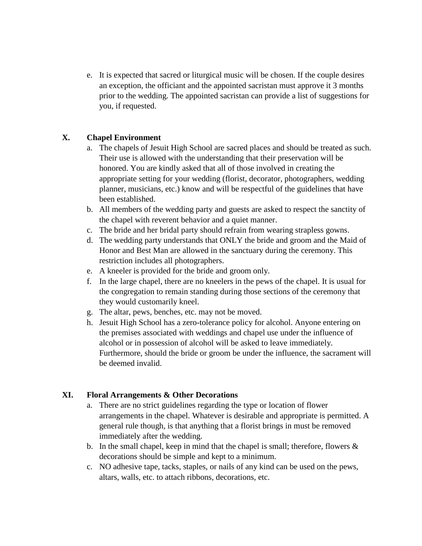e. It is expected that sacred or liturgical music will be chosen. If the couple desires an exception, the officiant and the appointed sacristan must approve it 3 months prior to the wedding. The appointed sacristan can provide a list of suggestions for you, if requested.

## **X. Chapel Environment**

- a. The chapels of Jesuit High School are sacred places and should be treated as such. Their use is allowed with the understanding that their preservation will be honored. You are kindly asked that all of those involved in creating the appropriate setting for your wedding (florist, decorator, photographers, wedding planner, musicians, etc.) know and will be respectful of the guidelines that have been established.
- b. All members of the wedding party and guests are asked to respect the sanctity of the chapel with reverent behavior and a quiet manner.
- c. The bride and her bridal party should refrain from wearing strapless gowns.
- d. The wedding party understands that ONLY the bride and groom and the Maid of Honor and Best Man are allowed in the sanctuary during the ceremony. This restriction includes all photographers.
- e. A kneeler is provided for the bride and groom only.
- f. In the large chapel, there are no kneelers in the pews of the chapel. It is usual for the congregation to remain standing during those sections of the ceremony that they would customarily kneel.
- g. The altar, pews, benches, etc. may not be moved.
- h. Jesuit High School has a zero-tolerance policy for alcohol. Anyone entering on the premises associated with weddings and chapel use under the influence of alcohol or in possession of alcohol will be asked to leave immediately. Furthermore, should the bride or groom be under the influence, the sacrament will be deemed invalid.

# **XI. Floral Arrangements & Other Decorations**

- a. There are no strict guidelines regarding the type or location of flower arrangements in the chapel. Whatever is desirable and appropriate is permitted. A general rule though, is that anything that a florist brings in must be removed immediately after the wedding.
- b. In the small chapel, keep in mind that the chapel is small; therefore, flowers  $\&$ decorations should be simple and kept to a minimum.
- c. NO adhesive tape, tacks, staples, or nails of any kind can be used on the pews, altars, walls, etc. to attach ribbons, decorations, etc.